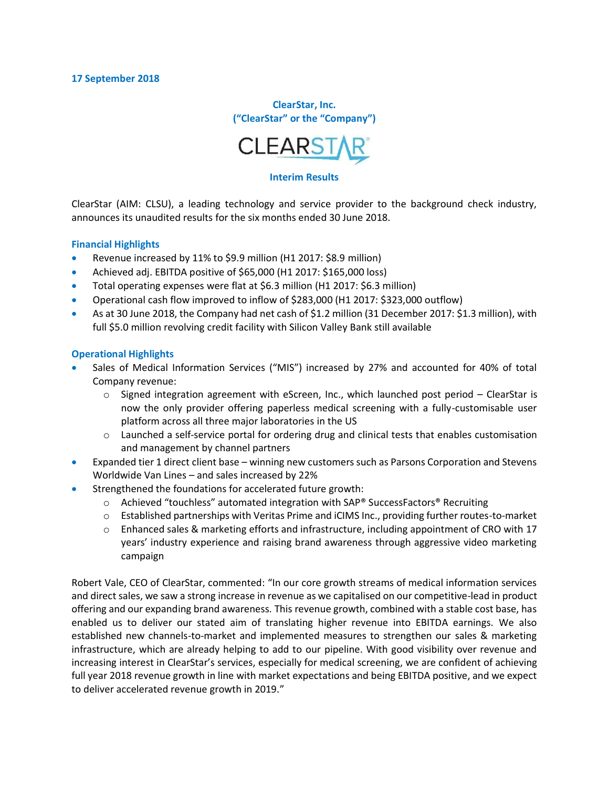**ClearStar, Inc. ("ClearStar" or the "Company")**



#### **Interim Results**

ClearStar (AIM: CLSU), a leading technology and service provider to the background check industry, announces its unaudited results for the six months ended 30 June 2018.

#### **Financial Highlights**

- Revenue increased by 11% to \$9.9 million (H1 2017: \$8.9 million)
- Achieved adj. EBITDA positive of \$65,000 (H1 2017: \$165,000 loss)
- Total operating expenses were flat at \$6.3 million (H1 2017: \$6.3 million)
- Operational cash flow improved to inflow of \$283,000 (H1 2017: \$323,000 outflow)
- As at 30 June 2018, the Company had net cash of \$1.2 million (31 December 2017: \$1.3 million), with full \$5.0 million revolving credit facility with Silicon Valley Bank still available

#### **Operational Highlights**

- Sales of Medical Information Services ("MIS") increased by 27% and accounted for 40% of total Company revenue:
	- $\circ$  Signed integration agreement with eScreen, Inc., which launched post period ClearStar is now the only provider offering paperless medical screening with a fully-customisable user platform across all three major laboratories in the US
	- o Launched a self-service portal for ordering drug and clinical tests that enables customisation and management by channel partners
- Expanded tier 1 direct client base winning new customers such as Parsons Corporation and Stevens Worldwide Van Lines – and sales increased by 22%
- Strengthened the foundations for accelerated future growth:
	- $\circ$  Achieved "touchless" automated integration with SAP® SuccessFactors® Recruiting
	- o Established partnerships with Veritas Prime and iCIMS Inc., providing further routes-to-market
	- o Enhanced sales & marketing efforts and infrastructure, including appointment of CRO with 17 years' industry experience and raising brand awareness through aggressive video marketing campaign

Robert Vale, CEO of ClearStar, commented: "In our core growth streams of medical information services and direct sales, we saw a strong increase in revenue as we capitalised on our competitive-lead in product offering and our expanding brand awareness. This revenue growth, combined with a stable cost base, has enabled us to deliver our stated aim of translating higher revenue into EBITDA earnings. We also established new channels-to-market and implemented measures to strengthen our sales & marketing infrastructure, which are already helping to add to our pipeline. With good visibility over revenue and increasing interest in ClearStar's services, especially for medical screening, we are confident of achieving full year 2018 revenue growth in line with market expectations and being EBITDA positive, and we expect to deliver accelerated revenue growth in 2019."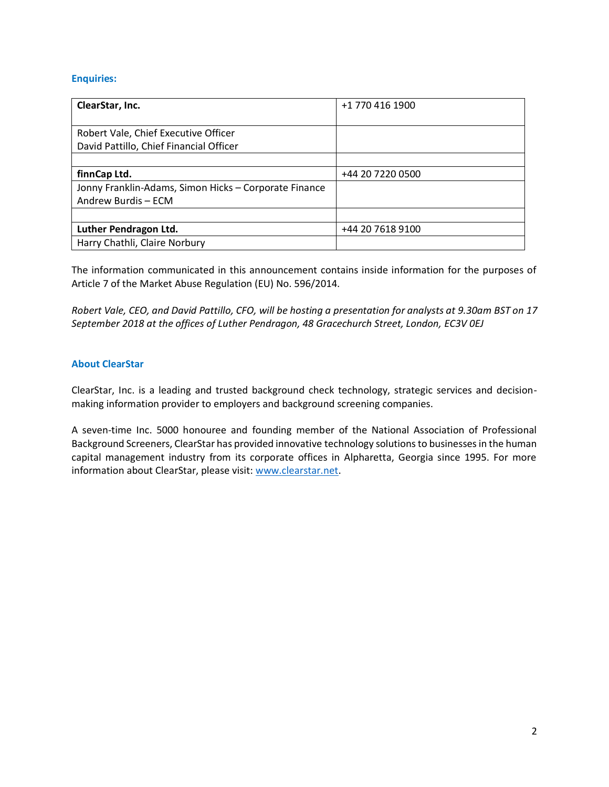#### **Enquiries:**

| ClearStar, Inc.                                       | +1 770 416 1900  |
|-------------------------------------------------------|------------------|
|                                                       |                  |
| Robert Vale, Chief Executive Officer                  |                  |
| David Pattillo, Chief Financial Officer               |                  |
|                                                       |                  |
| finnCap Ltd.                                          | +44 20 7220 0500 |
| Jonny Franklin-Adams, Simon Hicks - Corporate Finance |                  |
| Andrew Burdis - ECM                                   |                  |
|                                                       |                  |
| Luther Pendragon Ltd.                                 | +44 20 7618 9100 |
| Harry Chathli, Claire Norbury                         |                  |

The information communicated in this announcement contains inside information for the purposes of Article 7 of the Market Abuse Regulation (EU) No. 596/2014.

*Robert Vale, CEO, and David Pattillo, CFO, will be hosting a presentation for analysts at 9.30am BST on 17 September 2018 at the offices of Luther Pendragon, 48 Gracechurch Street, London, EC3V 0EJ*

#### **About ClearStar**

ClearStar, Inc. is a leading and trusted background check technology, strategic services and decisionmaking information provider to employers and background screening companies.

A seven-time Inc. 5000 honouree and founding member of the National Association of Professional Background Screeners, ClearStar has provided innovative technology solutions to businesses in the human capital management industry from its corporate offices in Alpharetta, Georgia since 1995. For more information about ClearStar, please visit: [www.clearstar.net.](http://www.clearstar.net/)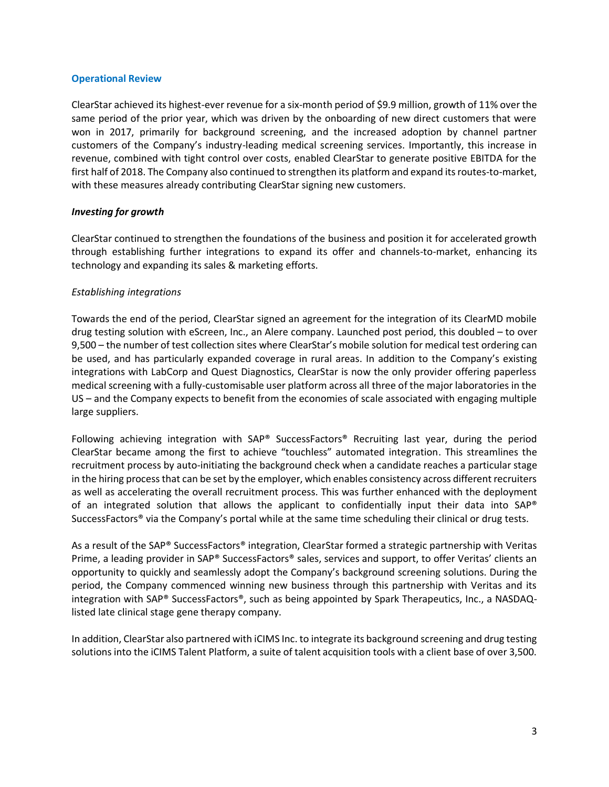#### **Operational Review**

ClearStar achieved its highest-ever revenue for a six-month period of \$9.9 million, growth of 11% over the same period of the prior year, which was driven by the onboarding of new direct customers that were won in 2017, primarily for background screening, and the increased adoption by channel partner customers of the Company's industry-leading medical screening services. Importantly, this increase in revenue, combined with tight control over costs, enabled ClearStar to generate positive EBITDA for the first half of 2018. The Company also continued to strengthen its platform and expand its routes-to-market, with these measures already contributing ClearStar signing new customers.

#### *Investing for growth*

ClearStar continued to strengthen the foundations of the business and position it for accelerated growth through establishing further integrations to expand its offer and channels-to-market, enhancing its technology and expanding its sales & marketing efforts.

#### *Establishing integrations*

Towards the end of the period, ClearStar signed an agreement for the integration of its ClearMD mobile drug testing solution with eScreen, Inc., an Alere company. Launched post period, this doubled – to over 9,500 – the number of test collection sites where ClearStar's mobile solution for medical test ordering can be used, and has particularly expanded coverage in rural areas. In addition to the Company's existing integrations with LabCorp and Quest Diagnostics, ClearStar is now the only provider offering paperless medical screening with a fully-customisable user platform across all three of the major laboratories in the US – and the Company expects to benefit from the economies of scale associated with engaging multiple large suppliers.

Following achieving integration with SAP® SuccessFactors® Recruiting last year, during the period ClearStar became among the first to achieve "touchless" automated integration. This streamlines the recruitment process by auto-initiating the background check when a candidate reaches a particular stage in the hiring processthat can be set by the employer, which enables consistency across different recruiters as well as accelerating the overall recruitment process. This was further enhanced with the deployment of an integrated solution that allows the applicant to confidentially input their data into SAP® SuccessFactors® via the Company's portal while at the same time scheduling their clinical or drug tests.

As a result of the SAP® SuccessFactors® integration, ClearStar formed a strategic partnership with Veritas Prime, a leading provider in SAP® SuccessFactors® sales, services and support, to offer Veritas' clients an opportunity to quickly and seamlessly adopt the Company's background screening solutions. During the period, the Company commenced winning new business through this partnership with Veritas and its integration with SAP® SuccessFactors®, such as being appointed by Spark Therapeutics, Inc., a NASDAQlisted late clinical stage gene therapy company.

In addition, ClearStar also partnered with iCIMS Inc. to integrate its background screening and drug testing solutions into the iCIMS Talent Platform, a suite of talent acquisition tools with a client base of over 3,500.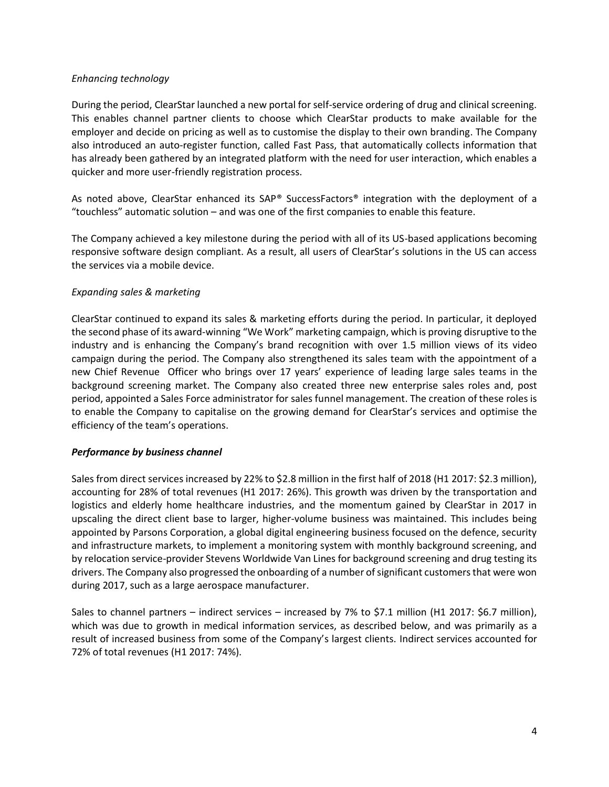#### *Enhancing technology*

During the period, ClearStar launched a new portal for self-service ordering of drug and clinical screening. This enables channel partner clients to choose which ClearStar products to make available for the employer and decide on pricing as well as to customise the display to their own branding. The Company also introduced an auto-register function, called Fast Pass, that automatically collects information that has already been gathered by an integrated platform with the need for user interaction, which enables a quicker and more user-friendly registration process.

As noted above, ClearStar enhanced its SAP® SuccessFactors® integration with the deployment of a "touchless" automatic solution – and was one of the first companies to enable this feature.

The Company achieved a key milestone during the period with all of its US-based applications becoming responsive software design compliant. As a result, all users of ClearStar's solutions in the US can access the services via a mobile device.

#### *Expanding sales & marketing*

ClearStar continued to expand its sales & marketing efforts during the period. In particular, it deployed the second phase of its award-winning "We Work" marketing campaign, which is proving disruptive to the industry and is enhancing the Company's brand recognition with over 1.5 million views of its video campaign during the period. The Company also strengthened its sales team with the appointment of a new Chief Revenue Officer who brings over 17 years' experience of leading large sales teams in the background screening market. The Company also created three new enterprise sales roles and, post period, appointed a Sales Force administrator for sales funnel management. The creation of these roles is to enable the Company to capitalise on the growing demand for ClearStar's services and optimise the efficiency of the team's operations.

#### *Performance by business channel*

Sales from direct services increased by 22% to \$2.8 million in the first half of 2018 (H1 2017: \$2.3 million), accounting for 28% of total revenues (H1 2017: 26%). This growth was driven by the transportation and logistics and elderly home healthcare industries, and the momentum gained by ClearStar in 2017 in upscaling the direct client base to larger, higher-volume business was maintained. This includes being appointed by Parsons Corporation, a global digital engineering business focused on the defence, security and infrastructure markets, to implement a monitoring system with monthly background screening, and by relocation service-provider Stevens Worldwide Van Lines for background screening and drug testing its drivers. The Company also progressed the onboarding of a number of significant customers that were won during 2017, such as a large aerospace manufacturer.

Sales to channel partners – indirect services – increased by 7% to \$7.1 million (H1 2017: \$6.7 million), which was due to growth in medical information services, as described below, and was primarily as a result of increased business from some of the Company's largest clients. Indirect services accounted for 72% of total revenues (H1 2017: 74%).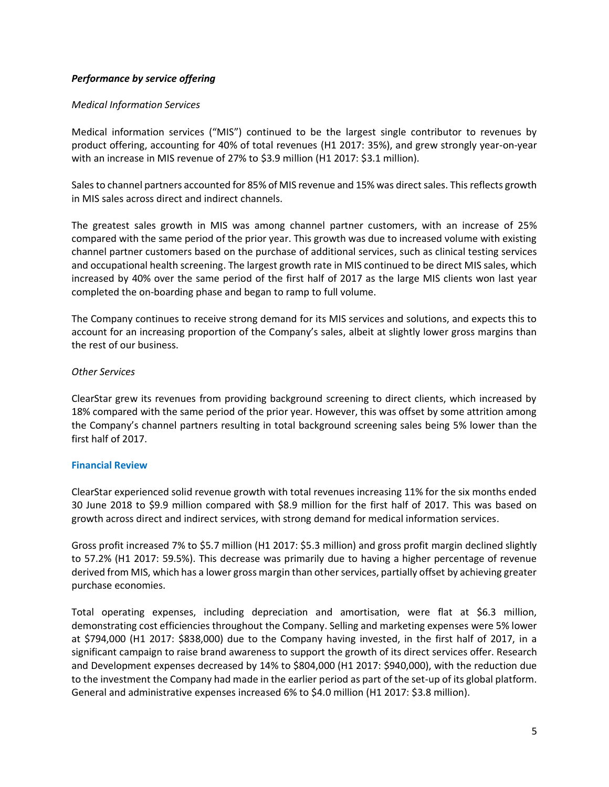#### *Performance by service offering*

#### *Medical Information Services*

Medical information services ("MIS") continued to be the largest single contributor to revenues by product offering, accounting for 40% of total revenues (H1 2017: 35%), and grew strongly year-on-year with an increase in MIS revenue of 27% to \$3.9 million (H1 2017: \$3.1 million).

Sales to channel partners accounted for 85% of MIS revenue and 15% was direct sales. This reflects growth in MIS sales across direct and indirect channels.

The greatest sales growth in MIS was among channel partner customers, with an increase of 25% compared with the same period of the prior year. This growth was due to increased volume with existing channel partner customers based on the purchase of additional services, such as clinical testing services and occupational health screening. The largest growth rate in MIS continued to be direct MIS sales, which increased by 40% over the same period of the first half of 2017 as the large MIS clients won last year completed the on-boarding phase and began to ramp to full volume.

The Company continues to receive strong demand for its MIS services and solutions, and expects this to account for an increasing proportion of the Company's sales, albeit at slightly lower gross margins than the rest of our business.

#### *Other Services*

ClearStar grew its revenues from providing background screening to direct clients, which increased by 18% compared with the same period of the prior year. However, this was offset by some attrition among the Company's channel partners resulting in total background screening sales being 5% lower than the first half of 2017.

#### **Financial Review**

ClearStar experienced solid revenue growth with total revenues increasing 11% for the six months ended 30 June 2018 to \$9.9 million compared with \$8.9 million for the first half of 2017. This was based on growth across direct and indirect services, with strong demand for medical information services.

Gross profit increased 7% to \$5.7 million (H1 2017: \$5.3 million) and gross profit margin declined slightly to 57.2% (H1 2017: 59.5%). This decrease was primarily due to having a higher percentage of revenue derived from MIS, which has a lower gross margin than other services, partially offset by achieving greater purchase economies.

Total operating expenses, including depreciation and amortisation, were flat at \$6.3 million, demonstrating cost efficiencies throughout the Company. Selling and marketing expenses were 5% lower at \$794,000 (H1 2017: \$838,000) due to the Company having invested, in the first half of 2017, in a significant campaign to raise brand awareness to support the growth of its direct services offer. Research and Development expenses decreased by 14% to \$804,000 (H1 2017: \$940,000), with the reduction due to the investment the Company had made in the earlier period as part of the set-up of its global platform. General and administrative expenses increased 6% to \$4.0 million (H1 2017: \$3.8 million).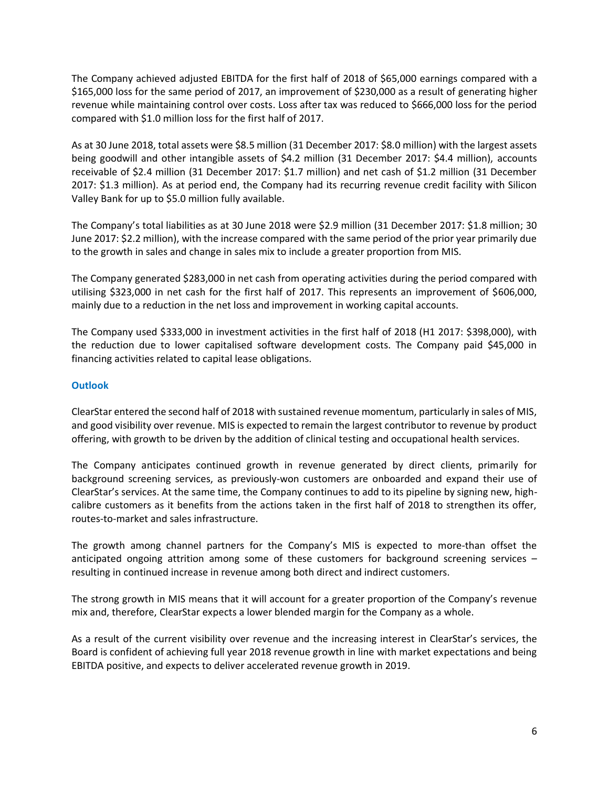The Company achieved adjusted EBITDA for the first half of 2018 of \$65,000 earnings compared with a \$165,000 loss for the same period of 2017, an improvement of \$230,000 as a result of generating higher revenue while maintaining control over costs. Loss after tax was reduced to \$666,000 loss for the period compared with \$1.0 million loss for the first half of 2017.

As at 30 June 2018, total assets were \$8.5 million (31 December 2017: \$8.0 million) with the largest assets being goodwill and other intangible assets of \$4.2 million (31 December 2017: \$4.4 million), accounts receivable of \$2.4 million (31 December 2017: \$1.7 million) and net cash of \$1.2 million (31 December 2017: \$1.3 million). As at period end, the Company had its recurring revenue credit facility with Silicon Valley Bank for up to \$5.0 million fully available.

The Company's total liabilities as at 30 June 2018 were \$2.9 million (31 December 2017: \$1.8 million; 30 June 2017: \$2.2 million), with the increase compared with the same period of the prior year primarily due to the growth in sales and change in sales mix to include a greater proportion from MIS.

The Company generated \$283,000 in net cash from operating activities during the period compared with utilising \$323,000 in net cash for the first half of 2017. This represents an improvement of \$606,000, mainly due to a reduction in the net loss and improvement in working capital accounts.

The Company used \$333,000 in investment activities in the first half of 2018 (H1 2017: \$398,000), with the reduction due to lower capitalised software development costs. The Company paid \$45,000 in financing activities related to capital lease obligations.

#### **Outlook**

ClearStar entered the second half of 2018 with sustained revenue momentum, particularly in sales of MIS, and good visibility over revenue. MIS is expected to remain the largest contributor to revenue by product offering, with growth to be driven by the addition of clinical testing and occupational health services.

The Company anticipates continued growth in revenue generated by direct clients, primarily for background screening services, as previously-won customers are onboarded and expand their use of ClearStar's services. At the same time, the Company continues to add to its pipeline by signing new, highcalibre customers as it benefits from the actions taken in the first half of 2018 to strengthen its offer, routes-to-market and sales infrastructure.

The growth among channel partners for the Company's MIS is expected to more-than offset the anticipated ongoing attrition among some of these customers for background screening services – resulting in continued increase in revenue among both direct and indirect customers.

The strong growth in MIS means that it will account for a greater proportion of the Company's revenue mix and, therefore, ClearStar expects a lower blended margin for the Company as a whole.

As a result of the current visibility over revenue and the increasing interest in ClearStar's services, the Board is confident of achieving full year 2018 revenue growth in line with market expectations and being EBITDA positive, and expects to deliver accelerated revenue growth in 2019.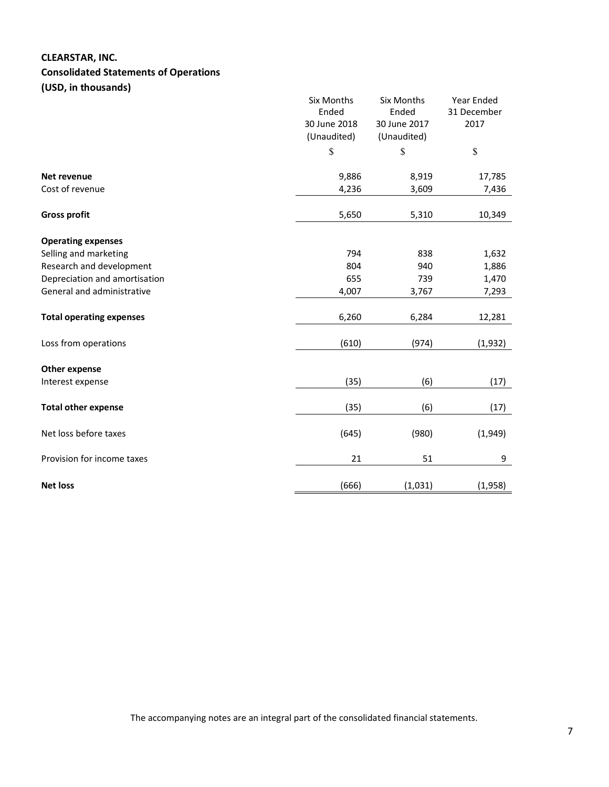# **CLEARSTAR, INC. Consolidated Statements of Operations (USD, in thousands)**

|                                 | Six Months<br>Ended<br>30 June 2018<br>(Unaudited) | Six Months<br>Ended<br>30 June 2017<br>(Unaudited) | Year Ended<br>31 December<br>2017 |
|---------------------------------|----------------------------------------------------|----------------------------------------------------|-----------------------------------|
|                                 | \$                                                 | \$                                                 | \$                                |
| Net revenue                     | 9,886                                              | 8,919                                              | 17,785                            |
| Cost of revenue                 | 4,236                                              | 3,609                                              | 7,436                             |
| <b>Gross profit</b>             | 5,650                                              | 5,310                                              | 10,349                            |
| <b>Operating expenses</b>       |                                                    |                                                    |                                   |
| Selling and marketing           | 794                                                | 838                                                | 1,632                             |
| Research and development        | 804                                                | 940                                                | 1,886                             |
| Depreciation and amortisation   | 655                                                | 739                                                | 1,470                             |
| General and administrative      | 4,007                                              | 3,767                                              | 7,293                             |
| <b>Total operating expenses</b> | 6,260                                              | 6,284                                              | 12,281                            |
| Loss from operations            | (610)                                              | (974)                                              | (1,932)                           |
| <b>Other expense</b>            |                                                    |                                                    |                                   |
| Interest expense                | (35)                                               | (6)                                                | (17)                              |
| <b>Total other expense</b>      | (35)                                               | (6)                                                | (17)                              |
| Net loss before taxes           | (645)                                              | (980)                                              | (1,949)                           |
| Provision for income taxes      | 21                                                 | 51                                                 | 9                                 |
| <b>Net loss</b>                 | (666)                                              | (1,031)                                            | (1,958)                           |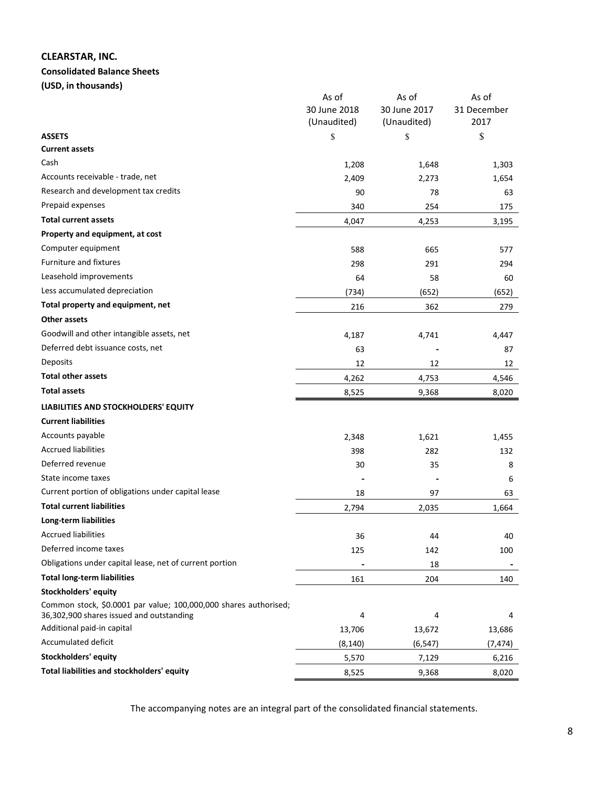# **CLEARSTAR, INC.**

#### **Consolidated Balance Sheets**

**(USD, in thousands)**

|                                                                                                              | As of                       | As of                       | As of               |
|--------------------------------------------------------------------------------------------------------------|-----------------------------|-----------------------------|---------------------|
|                                                                                                              | 30 June 2018<br>(Unaudited) | 30 June 2017<br>(Unaudited) | 31 December<br>2017 |
| <b>ASSETS</b>                                                                                                | \$                          | \$                          | \$                  |
| <b>Current assets</b>                                                                                        |                             |                             |                     |
| Cash                                                                                                         | 1,208                       | 1,648                       | 1,303               |
| Accounts receivable - trade, net                                                                             | 2,409                       | 2,273                       | 1,654               |
| Research and development tax credits                                                                         | 90                          | 78                          | 63                  |
| Prepaid expenses                                                                                             | 340                         | 254                         | 175                 |
| <b>Total current assets</b>                                                                                  | 4,047                       | 4,253                       | 3,195               |
| Property and equipment, at cost                                                                              |                             |                             |                     |
| Computer equipment                                                                                           | 588                         | 665                         | 577                 |
| Furniture and fixtures                                                                                       | 298                         | 291                         | 294                 |
| Leasehold improvements                                                                                       | 64                          | 58                          | 60                  |
| Less accumulated depreciation                                                                                | (734)                       | (652)                       | (652)               |
| Total property and equipment, net                                                                            | 216                         | 362                         | 279                 |
| Other assets                                                                                                 |                             |                             |                     |
| Goodwill and other intangible assets, net                                                                    | 4,187                       | 4,741                       | 4,447               |
| Deferred debt issuance costs, net                                                                            | 63                          |                             | 87                  |
| Deposits                                                                                                     | 12                          | 12                          | 12                  |
| <b>Total other assets</b>                                                                                    | 4,262                       | 4,753                       | 4,546               |
| <b>Total assets</b>                                                                                          | 8,525                       | 9,368                       | 8,020               |
| LIABILITIES AND STOCKHOLDERS' EQUITY                                                                         |                             |                             |                     |
| <b>Current liabilities</b>                                                                                   |                             |                             |                     |
| Accounts payable                                                                                             | 2,348                       | 1,621                       | 1,455               |
| <b>Accrued liabilities</b>                                                                                   | 398                         | 282                         | 132                 |
| Deferred revenue                                                                                             | 30                          | 35                          | 8                   |
| State income taxes                                                                                           |                             |                             | 6                   |
| Current portion of obligations under capital lease                                                           | 18                          | 97                          | 63                  |
| <b>Total current liabilities</b>                                                                             | 2,794                       | 2,035                       | 1,664               |
| Long-term liabilities                                                                                        |                             |                             |                     |
| <b>Accrued liabilities</b>                                                                                   | 36                          | 44                          | 40                  |
| Deferred income taxes                                                                                        | 125                         | 142                         | 100                 |
| Obligations under capital lease, net of current portion                                                      |                             | 18                          |                     |
| <b>Total long-term liabilities</b>                                                                           | 161                         | 204                         | 140                 |
| <b>Stockholders' equity</b>                                                                                  |                             |                             |                     |
| Common stock, \$0.0001 par value; 100,000,000 shares authorised;<br>36,302,900 shares issued and outstanding | 4                           | 4                           | 4                   |
| Additional paid-in capital                                                                                   | 13,706                      | 13,672                      | 13,686              |
| Accumulated deficit                                                                                          | (8, 140)                    | (6, 547)                    | (7, 474)            |
| <b>Stockholders' equity</b>                                                                                  | 5,570                       | 7,129                       | 6,216               |
| Total liabilities and stockholders' equity                                                                   | 8,525                       | 9,368                       | 8,020               |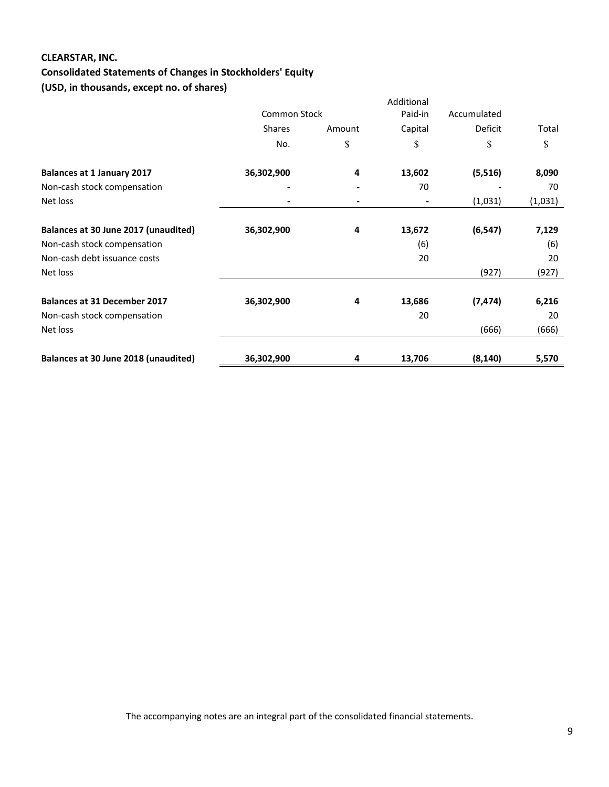# **CLEARSTAR, INC.**

# **Consolidated Statements of Changes in Stockholders' Equity**

**(USD, in thousands, except no. of shares)**

|                                      |                     |        | Additional |             |         |
|--------------------------------------|---------------------|--------|------------|-------------|---------|
|                                      | <b>Common Stock</b> |        | Paid-in    | Accumulated |         |
|                                      | <b>Shares</b>       | Amount | Capital    | Deficit     | Total   |
|                                      | No.                 | \$     | \$         | \$          | \$      |
| <b>Balances at 1 January 2017</b>    | 36,302,900          | 4      | 13,602     | (5, 516)    | 8,090   |
| Non-cash stock compensation          |                     |        | 70         |             | 70      |
| Net loss                             |                     |        |            | (1,031)     | (1,031) |
|                                      |                     |        |            |             |         |
| Balances at 30 June 2017 (unaudited) | 36,302,900          | 4      | 13,672     | (6, 547)    | 7,129   |
| Non-cash stock compensation          |                     |        | (6)        |             | (6)     |
| Non-cash debt issuance costs         |                     |        | 20         |             | 20      |
| Net loss                             |                     |        |            | (927)       | (927)   |
| <b>Balances at 31 December 2017</b>  | 36,302,900          | 4      | 13,686     | (7, 474)    | 6,216   |
|                                      |                     |        | 20         |             | 20      |
| Non-cash stock compensation          |                     |        |            |             |         |
| Net loss                             |                     |        |            | (666)       | (666)   |
| Balances at 30 June 2018 (unaudited) | 36,302,900          | 4      | 13,706     | (8, 140)    | 5,570   |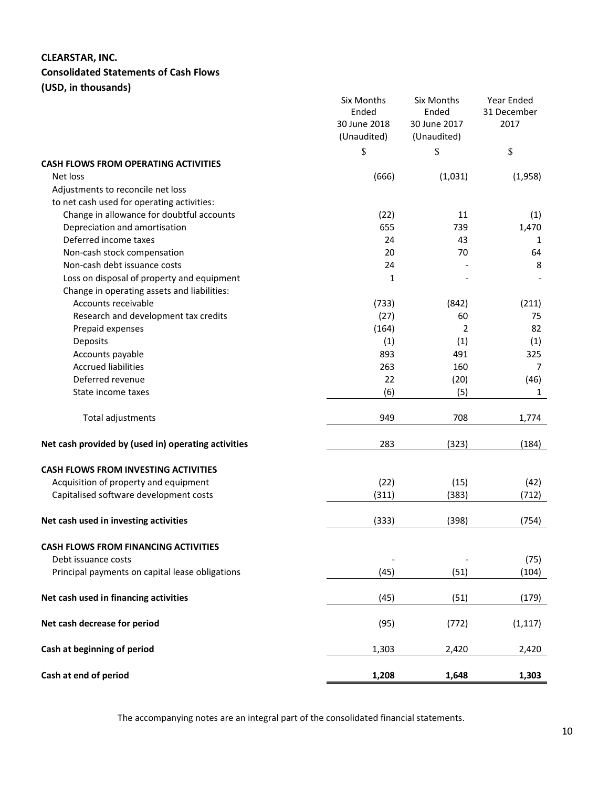# **CLEARSTAR, INC.**

# **Consolidated Statements of Cash Flows**

**(USD, in thousands)**

|                                                     | Six Months<br>Ended<br>30 June 2018<br>(Unaudited) | Six Months<br>Ended<br>30 June 2017<br>(Unaudited) | Year Ended<br>31 December<br>2017 |
|-----------------------------------------------------|----------------------------------------------------|----------------------------------------------------|-----------------------------------|
|                                                     | \$                                                 | \$                                                 | $\mathbb S$                       |
| <b>CASH FLOWS FROM OPERATING ACTIVITIES</b>         |                                                    |                                                    |                                   |
| Net loss                                            | (666)                                              | (1,031)                                            | (1,958)                           |
| Adjustments to reconcile net loss                   |                                                    |                                                    |                                   |
| to net cash used for operating activities:          |                                                    |                                                    |                                   |
| Change in allowance for doubtful accounts           | (22)                                               | 11                                                 | (1)                               |
| Depreciation and amortisation                       | 655                                                | 739                                                | 1,470                             |
| Deferred income taxes                               | 24                                                 | 43                                                 | 1                                 |
| Non-cash stock compensation                         | 20                                                 | 70                                                 | 64                                |
| Non-cash debt issuance costs                        | 24                                                 |                                                    | 8                                 |
| Loss on disposal of property and equipment          | 1                                                  |                                                    |                                   |
| Change in operating assets and liabilities:         |                                                    |                                                    |                                   |
| Accounts receivable                                 | (733)                                              | (842)                                              | (211)                             |
| Research and development tax credits                | (27)                                               | 60                                                 | 75                                |
| Prepaid expenses                                    | (164)                                              | 2                                                  | 82                                |
| Deposits                                            | (1)                                                | (1)                                                | (1)                               |
| Accounts payable                                    | 893                                                | 491                                                | 325                               |
| <b>Accrued liabilities</b>                          | 263                                                | 160                                                | 7                                 |
| Deferred revenue                                    | 22                                                 | (20)                                               | (46)                              |
| State income taxes                                  | (6)                                                | (5)                                                | $\mathbf{1}$                      |
| Total adjustments                                   | 949                                                | 708                                                | 1,774                             |
| Net cash provided by (used in) operating activities | 283                                                | (323)                                              | (184)                             |
| <b>CASH FLOWS FROM INVESTING ACTIVITIES</b>         |                                                    |                                                    |                                   |
| Acquisition of property and equipment               | (22)                                               | (15)                                               | (42)                              |
| Capitalised software development costs              | (311)                                              | (383)                                              | (712)                             |
| Net cash used in investing activities               | (333)                                              | (398)                                              | (754)                             |
| <b>CASH FLOWS FROM FINANCING ACTIVITIES</b>         |                                                    |                                                    |                                   |
| Debt issuance costs                                 |                                                    |                                                    | (75)                              |
| Principal payments on capital lease obligations     | (45)                                               | (51)                                               | (104)                             |
| Net cash used in financing activities               | (45)                                               | (51)                                               | (179)                             |
| Net cash decrease for period                        | (95)                                               | (772)                                              | (1, 117)                          |
| Cash at beginning of period                         | 1,303                                              | 2,420                                              | 2,420                             |
| Cash at end of period                               | 1,208                                              | 1,648                                              | 1,303                             |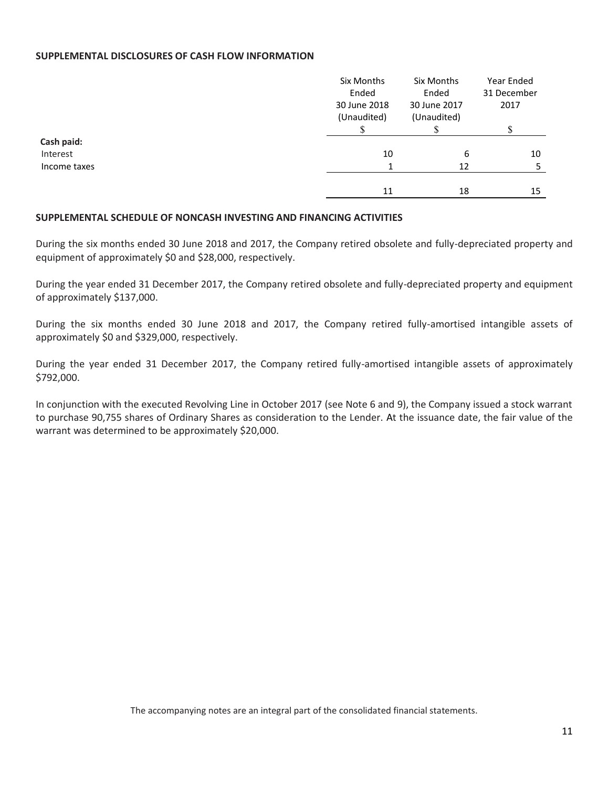#### **SUPPLEMENTAL DISCLOSURES OF CASH FLOW INFORMATION**

|              | Six Months<br>Ended         | Six Months<br>Ended         | Year Ended<br>31 December |
|--------------|-----------------------------|-----------------------------|---------------------------|
|              | 30 June 2018<br>(Unaudited) | 30 June 2017<br>(Unaudited) | 2017                      |
|              |                             |                             |                           |
| Cash paid:   |                             |                             |                           |
| Interest     | 10                          | 6                           | 10                        |
| Income taxes |                             | 12                          | ר                         |
|              |                             |                             |                           |
|              | 11                          | 18                          | 15                        |

#### **SUPPLEMENTAL SCHEDULE OF NONCASH INVESTING AND FINANCING ACTIVITIES**

During the six months ended 30 June 2018 and 2017, the Company retired obsolete and fully-depreciated property and equipment of approximately \$0 and \$28,000, respectively.

During the year ended 31 December 2017, the Company retired obsolete and fully-depreciated property and equipment of approximately \$137,000.

During the six months ended 30 June 2018 and 2017, the Company retired fully-amortised intangible assets of approximately \$0 and \$329,000, respectively.

During the year ended 31 December 2017, the Company retired fully-amortised intangible assets of approximately \$792,000.

In conjunction with the executed Revolving Line in October 2017 (see Note 6 and 9), the Company issued a stock warrant to purchase 90,755 shares of Ordinary Shares as consideration to the Lender. At the issuance date, the fair value of the warrant was determined to be approximately \$20,000.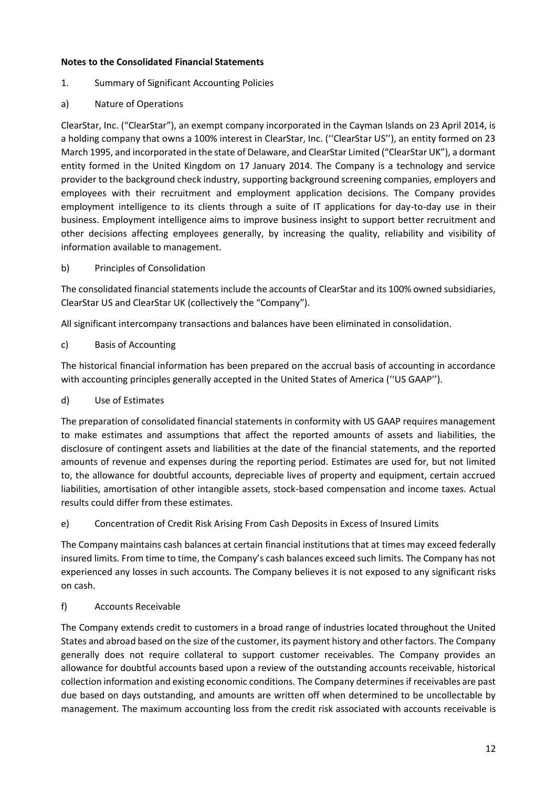# **Notes to the Consolidated Financial Statements**

- 1. Summary of Significant Accounting Policies
- a) Nature of Operations

ClearStar, Inc. ("ClearStar"), an exempt company incorporated in the Cayman Islands on 23 April 2014, is a holding company that owns a 100% interest in ClearStar, Inc. (''ClearStar US''), an entity formed on 23 March 1995, and incorporated in the state of Delaware, and ClearStar Limited ("ClearStar UK"), a dormant entity formed in the United Kingdom on 17 January 2014. The Company is a technology and service provider to the background check industry, supporting background screening companies, employers and employees with their recruitment and employment application decisions. The Company provides employment intelligence to its clients through a suite of IT applications for day-to-day use in their business. Employment intelligence aims to improve business insight to support better recruitment and other decisions affecting employees generally, by increasing the quality, reliability and visibility of information available to management.

# b) Principles of Consolidation

The consolidated financial statements include the accounts of ClearStar and its 100% owned subsidiaries, ClearStar US and ClearStar UK (collectively the "Company").

All significant intercompany transactions and balances have been eliminated in consolidation.

# c) Basis of Accounting

The historical financial information has been prepared on the accrual basis of accounting in accordance with accounting principles generally accepted in the United States of America (''US GAAP'').

# d) Use of Estimates

The preparation of consolidated financial statements in conformity with US GAAP requires management to make estimates and assumptions that affect the reported amounts of assets and liabilities, the disclosure of contingent assets and liabilities at the date of the financial statements, and the reported amounts of revenue and expenses during the reporting period. Estimates are used for, but not limited to, the allowance for doubtful accounts, depreciable lives of property and equipment, certain accrued liabilities, amortisation of other intangible assets, stock-based compensation and income taxes. Actual results could differ from these estimates.

# e) Concentration of Credit Risk Arising From Cash Deposits in Excess of Insured Limits

The Company maintains cash balances at certain financial institutions that at times may exceed federally insured limits. From time to time, the Company's cash balances exceed such limits. The Company has not experienced any losses in such accounts. The Company believes it is not exposed to any significant risks on cash.

# f) Accounts Receivable

The Company extends credit to customers in a broad range of industries located throughout the United States and abroad based on the size of the customer, its payment history and other factors. The Company generally does not require collateral to support customer receivables. The Company provides an allowance for doubtful accounts based upon a review of the outstanding accounts receivable, historical collection information and existing economic conditions. The Company determines if receivables are past due based on days outstanding, and amounts are written off when determined to be uncollectable by management. The maximum accounting loss from the credit risk associated with accounts receivable is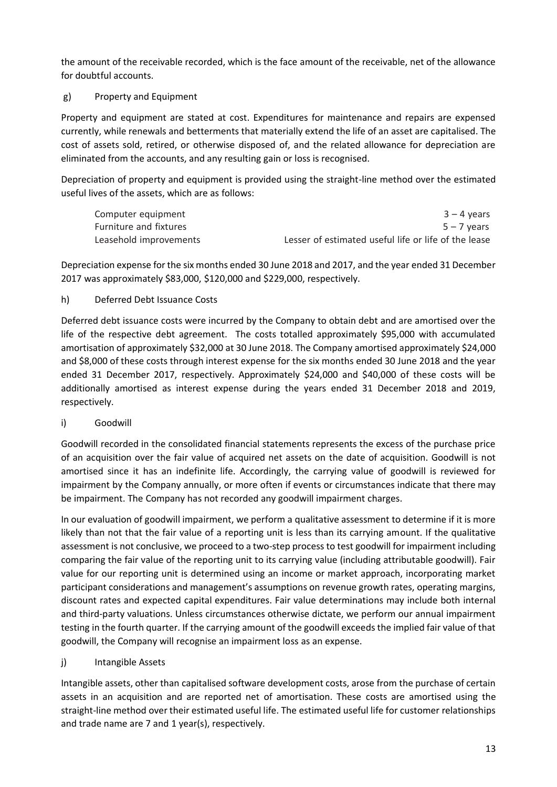the amount of the receivable recorded, which is the face amount of the receivable, net of the allowance for doubtful accounts.

# g) Property and Equipment

Property and equipment are stated at cost. Expenditures for maintenance and repairs are expensed currently, while renewals and betterments that materially extend the life of an asset are capitalised. The cost of assets sold, retired, or otherwise disposed of, and the related allowance for depreciation are eliminated from the accounts, and any resulting gain or loss is recognised.

Depreciation of property and equipment is provided using the straight-line method over the estimated useful lives of the assets, which are as follows:

| Computer equipment     | $3 - 4$ years                                        |
|------------------------|------------------------------------------------------|
| Furniture and fixtures | $5 - 7$ years                                        |
| Leasehold improvements | Lesser of estimated useful life or life of the lease |

Depreciation expense for the six months ended 30 June 2018 and 2017, and the year ended 31 December 2017 was approximately \$83,000, \$120,000 and \$229,000, respectively.

# h) Deferred Debt Issuance Costs

Deferred debt issuance costs were incurred by the Company to obtain debt and are amortised over the life of the respective debt agreement. The costs totalled approximately \$95,000 with accumulated amortisation of approximately \$32,000 at 30 June 2018. The Company amortised approximately \$24,000 and \$8,000 of these costs through interest expense for the six months ended 30 June 2018 and the year ended 31 December 2017, respectively. Approximately \$24,000 and \$40,000 of these costs will be additionally amortised as interest expense during the years ended 31 December 2018 and 2019, respectively.

# i) Goodwill

Goodwill recorded in the consolidated financial statements represents the excess of the purchase price of an acquisition over the fair value of acquired net assets on the date of acquisition. Goodwill is not amortised since it has an indefinite life. Accordingly, the carrying value of goodwill is reviewed for impairment by the Company annually, or more often if events or circumstances indicate that there may be impairment. The Company has not recorded any goodwill impairment charges.

In our evaluation of goodwill impairment, we perform a qualitative assessment to determine if it is more likely than not that the fair value of a reporting unit is less than its carrying amount. If the qualitative assessment is not conclusive, we proceed to a two-step process to test goodwill for impairment including comparing the fair value of the reporting unit to its carrying value (including attributable goodwill). Fair value for our reporting unit is determined using an income or market approach, incorporating market participant considerations and management's assumptions on revenue growth rates, operating margins, discount rates and expected capital expenditures. Fair value determinations may include both internal and third-party valuations. Unless circumstances otherwise dictate, we perform our annual impairment testing in the fourth quarter. If the carrying amount of the goodwill exceeds the implied fair value of that goodwill, the Company will recognise an impairment loss as an expense.

# j) Intangible Assets

Intangible assets, other than capitalised software development costs, arose from the purchase of certain assets in an acquisition and are reported net of amortisation. These costs are amortised using the straight-line method over their estimated useful life. The estimated useful life for customer relationships and trade name are 7 and 1 year(s), respectively.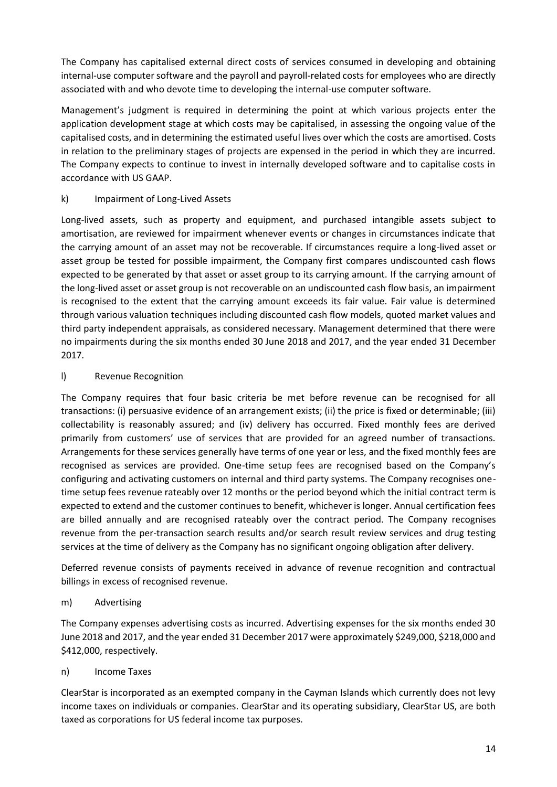The Company has capitalised external direct costs of services consumed in developing and obtaining internal-use computer software and the payroll and payroll-related costs for employees who are directly associated with and who devote time to developing the internal-use computer software.

Management's judgment is required in determining the point at which various projects enter the application development stage at which costs may be capitalised, in assessing the ongoing value of the capitalised costs, and in determining the estimated useful lives over which the costs are amortised. Costs in relation to the preliminary stages of projects are expensed in the period in which they are incurred. The Company expects to continue to invest in internally developed software and to capitalise costs in accordance with US GAAP.

# k) Impairment of Long-Lived Assets

Long-lived assets, such as property and equipment, and purchased intangible assets subject to amortisation, are reviewed for impairment whenever events or changes in circumstances indicate that the carrying amount of an asset may not be recoverable. If circumstances require a long-lived asset or asset group be tested for possible impairment, the Company first compares undiscounted cash flows expected to be generated by that asset or asset group to its carrying amount. If the carrying amount of the long-lived asset or asset group is not recoverable on an undiscounted cash flow basis, an impairment is recognised to the extent that the carrying amount exceeds its fair value. Fair value is determined through various valuation techniques including discounted cash flow models, quoted market values and third party independent appraisals, as considered necessary. Management determined that there were no impairments during the six months ended 30 June 2018 and 2017, and the year ended 31 December 2017.

# l) Revenue Recognition

The Company requires that four basic criteria be met before revenue can be recognised for all transactions: (i) persuasive evidence of an arrangement exists; (ii) the price is fixed or determinable; (iii) collectability is reasonably assured; and (iv) delivery has occurred. Fixed monthly fees are derived primarily from customers' use of services that are provided for an agreed number of transactions. Arrangements for these services generally have terms of one year or less, and the fixed monthly fees are recognised as services are provided. One-time setup fees are recognised based on the Company's configuring and activating customers on internal and third party systems. The Company recognises onetime setup fees revenue rateably over 12 months or the period beyond which the initial contract term is expected to extend and the customer continues to benefit, whichever is longer. Annual certification fees are billed annually and are recognised rateably over the contract period. The Company recognises revenue from the per-transaction search results and/or search result review services and drug testing services at the time of delivery as the Company has no significant ongoing obligation after delivery.

Deferred revenue consists of payments received in advance of revenue recognition and contractual billings in excess of recognised revenue.

# m) Advertising

The Company expenses advertising costs as incurred. Advertising expenses for the six months ended 30 June 2018 and 2017, and the year ended 31 December 2017 were approximately \$249,000, \$218,000 and \$412,000, respectively.

# n) Income Taxes

ClearStar is incorporated as an exempted company in the Cayman Islands which currently does not levy income taxes on individuals or companies. ClearStar and its operating subsidiary, ClearStar US, are both taxed as corporations for US federal income tax purposes.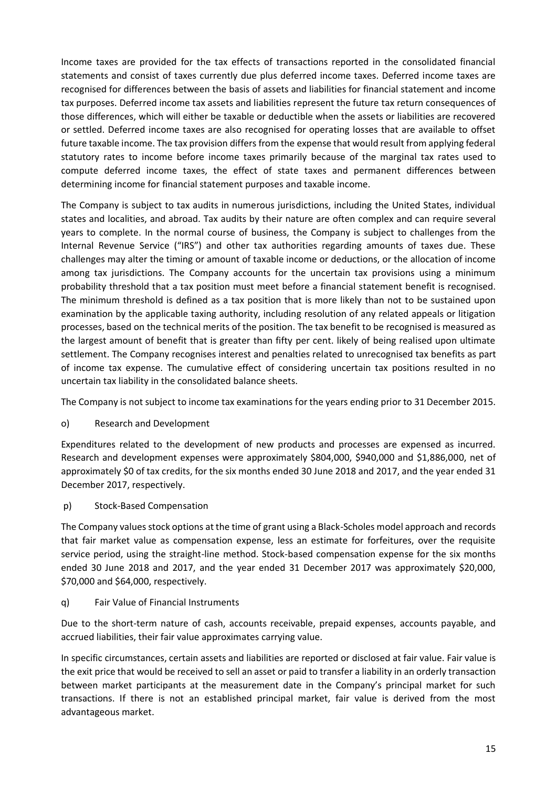Income taxes are provided for the tax effects of transactions reported in the consolidated financial statements and consist of taxes currently due plus deferred income taxes. Deferred income taxes are recognised for differences between the basis of assets and liabilities for financial statement and income tax purposes. Deferred income tax assets and liabilities represent the future tax return consequences of those differences, which will either be taxable or deductible when the assets or liabilities are recovered or settled. Deferred income taxes are also recognised for operating losses that are available to offset future taxable income. The tax provision differs from the expense that would result from applying federal statutory rates to income before income taxes primarily because of the marginal tax rates used to compute deferred income taxes, the effect of state taxes and permanent differences between determining income for financial statement purposes and taxable income.

The Company is subject to tax audits in numerous jurisdictions, including the United States, individual states and localities, and abroad. Tax audits by their nature are often complex and can require several years to complete. In the normal course of business, the Company is subject to challenges from the Internal Revenue Service ("IRS") and other tax authorities regarding amounts of taxes due. These challenges may alter the timing or amount of taxable income or deductions, or the allocation of income among tax jurisdictions. The Company accounts for the uncertain tax provisions using a minimum probability threshold that a tax position must meet before a financial statement benefit is recognised. The minimum threshold is defined as a tax position that is more likely than not to be sustained upon examination by the applicable taxing authority, including resolution of any related appeals or litigation processes, based on the technical merits of the position. The tax benefit to be recognised is measured as the largest amount of benefit that is greater than fifty per cent. likely of being realised upon ultimate settlement. The Company recognises interest and penalties related to unrecognised tax benefits as part of income tax expense. The cumulative effect of considering uncertain tax positions resulted in no uncertain tax liability in the consolidated balance sheets.

The Company is not subject to income tax examinations for the years ending prior to 31 December 2015.

o) Research and Development

Expenditures related to the development of new products and processes are expensed as incurred. Research and development expenses were approximately \$804,000, \$940,000 and \$1,886,000, net of approximately \$0 of tax credits, for the six months ended 30 June 2018 and 2017, and the year ended 31 December 2017, respectively.

p) Stock-Based Compensation

The Company values stock options at the time of grant using a Black-Scholes model approach and records that fair market value as compensation expense, less an estimate for forfeitures, over the requisite service period, using the straight-line method. Stock-based compensation expense for the six months ended 30 June 2018 and 2017, and the year ended 31 December 2017 was approximately \$20,000, \$70,000 and \$64,000, respectively.

q) Fair Value of Financial Instruments

Due to the short-term nature of cash, accounts receivable, prepaid expenses, accounts payable, and accrued liabilities, their fair value approximates carrying value.

In specific circumstances, certain assets and liabilities are reported or disclosed at fair value. Fair value is the exit price that would be received to sell an asset or paid to transfer a liability in an orderly transaction between market participants at the measurement date in the Company's principal market for such transactions. If there is not an established principal market, fair value is derived from the most advantageous market.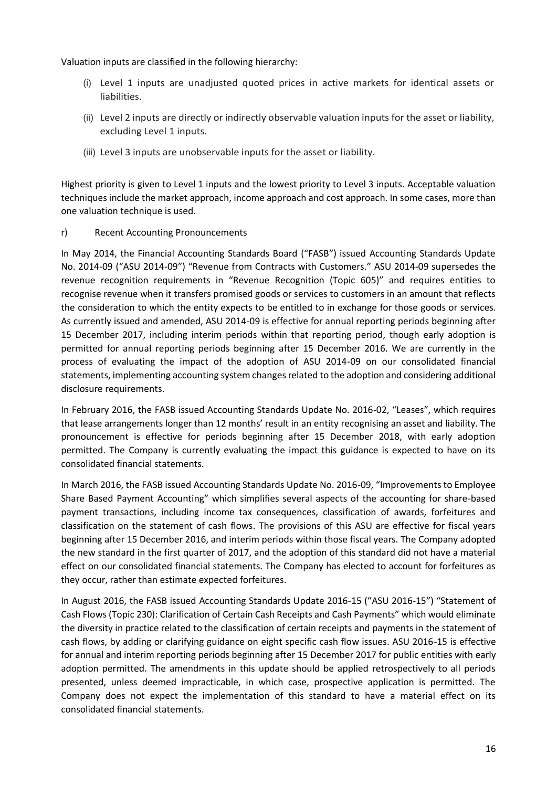Valuation inputs are classified in the following hierarchy:

- (i) Level 1 inputs are unadjusted quoted prices in active markets for identical assets or liabilities.
- (ii) Level 2 inputs are directly or indirectly observable valuation inputs for the asset or liability, excluding Level 1 inputs.
- (iii) Level 3 inputs are unobservable inputs for the asset or liability.

Highest priority is given to Level 1 inputs and the lowest priority to Level 3 inputs. Acceptable valuation techniques include the market approach, income approach and cost approach. In some cases, more than one valuation technique is used.

#### r) Recent Accounting Pronouncements

In May 2014, the Financial Accounting Standards Board ("FASB") issued Accounting Standards Update No. 2014-09 ("ASU 2014-09") "Revenue from Contracts with Customers." ASU 2014-09 supersedes the revenue recognition requirements in "Revenue Recognition (Topic 605)" and requires entities to recognise revenue when it transfers promised goods or services to customers in an amount that reflects the consideration to which the entity expects to be entitled to in exchange for those goods or services. As currently issued and amended, ASU 2014-09 is effective for annual reporting periods beginning after 15 December 2017, including interim periods within that reporting period, though early adoption is permitted for annual reporting periods beginning after 15 December 2016. We are currently in the process of evaluating the impact of the adoption of ASU 2014-09 on our consolidated financial statements, implementing accounting system changes related to the adoption and considering additional disclosure requirements.

In February 2016, the FASB issued Accounting Standards Update No. 2016-02, "Leases", which requires that lease arrangements longer than 12 months' result in an entity recognising an asset and liability. The pronouncement is effective for periods beginning after 15 December 2018, with early adoption permitted. The Company is currently evaluating the impact this guidance is expected to have on its consolidated financial statements.

In March 2016, the FASB issued Accounting Standards Update No. 2016-09, "Improvements to Employee Share Based Payment Accounting" which simplifies several aspects of the accounting for share-based payment transactions, including income tax consequences, classification of awards, forfeitures and classification on the statement of cash flows. The provisions of this ASU are effective for fiscal years beginning after 15 December 2016, and interim periods within those fiscal years. The Company adopted the new standard in the first quarter of 2017, and the adoption of this standard did not have a material effect on our consolidated financial statements. The Company has elected to account for forfeitures as they occur, rather than estimate expected forfeitures.

In August 2016, the FASB issued Accounting Standards Update 2016-15 ("ASU 2016-15") "Statement of Cash Flows (Topic 230): Clarification of Certain Cash Receipts and Cash Payments" which would eliminate the diversity in practice related to the classification of certain receipts and payments in the statement of cash flows, by adding or clarifying guidance on eight specific cash flow issues. ASU 2016-15 is effective for annual and interim reporting periods beginning after 15 December 2017 for public entities with early adoption permitted. The amendments in this update should be applied retrospectively to all periods presented, unless deemed impracticable, in which case, prospective application is permitted. The Company does not expect the implementation of this standard to have a material effect on its consolidated financial statements.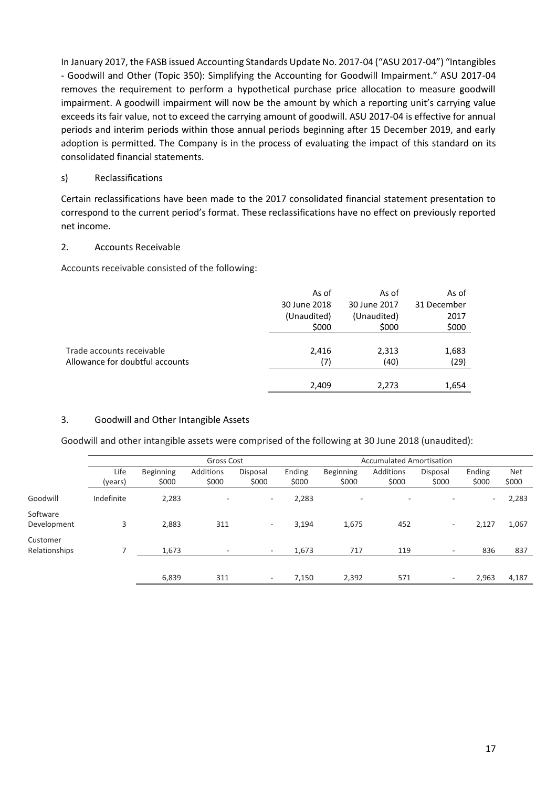In January 2017, the FASB issued Accounting Standards Update No. 2017-04 ("ASU 2017-04") "Intangibles - Goodwill and Other (Topic 350): Simplifying the Accounting for Goodwill Impairment." ASU 2017-04 removes the requirement to perform a hypothetical purchase price allocation to measure goodwill impairment. A goodwill impairment will now be the amount by which a reporting unit's carrying value exceeds its fair value, not to exceed the carrying amount of goodwill. ASU 2017-04 is effective for annual periods and interim periods within those annual periods beginning after 15 December 2019, and early adoption is permitted. The Company is in the process of evaluating the impact of this standard on its consolidated financial statements.

#### s) Reclassifications

Certain reclassifications have been made to the 2017 consolidated financial statement presentation to correspond to the current period's format. These reclassifications have no effect on previously reported net income.

#### 2. Accounts Receivable

Accounts receivable consisted of the following:

|                                 | As of        | As of        | As of       |
|---------------------------------|--------------|--------------|-------------|
|                                 | 30 June 2018 | 30 June 2017 | 31 December |
|                                 | (Unaudited)  | (Unaudited)  | 2017        |
|                                 | \$000        | \$000        | \$000       |
|                                 |              |              |             |
| Trade accounts receivable       | 2,416        | 2,313        | 1,683       |
| Allowance for doubtful accounts | (7)          | (40)         | (29)        |
|                                 |              |              |             |
|                                 | 2,409        | 2,273        | 1,654       |

# 3. Goodwill and Other Intangible Assets

Goodwill and other intangible assets were comprised of the following at 30 June 2018 (unaudited):

|                           |                 | Gross Cost         |                    |                          |                 |                          | <b>Accumulated Amortisation</b> |                   |                          |                     |
|---------------------------|-----------------|--------------------|--------------------|--------------------------|-----------------|--------------------------|---------------------------------|-------------------|--------------------------|---------------------|
|                           | Life<br>(years) | Beginning<br>\$000 | Additions<br>\$000 | Disposal<br>\$000        | Ending<br>\$000 | Beginning<br>\$000       | Additions<br>\$000              | Disposal<br>\$000 | Ending<br>\$000          | <b>Net</b><br>\$000 |
| Goodwill                  | Indefinite      | 2,283              | $\overline{a}$     | $\overline{\phantom{a}}$ | 2,283           | $\overline{\phantom{a}}$ | <b>1</b>                        | ٠                 | $\overline{\phantom{0}}$ | 2,283               |
| Software<br>Development   | 3               | 2,883              | 311                | $\overline{\phantom{a}}$ | 3,194           | 1,675                    | 452                             | ۰                 | 2,127                    | 1,067               |
| Customer<br>Relationships |                 | 1,673              | ٠                  | ٠                        | 1,673           | 717                      | 119                             | $\sim$            | 836                      | 837                 |
|                           |                 | 6,839              | 311                | ٠                        | 7,150           | 2,392                    | 571                             | ٠                 | 2,963                    | 4,187               |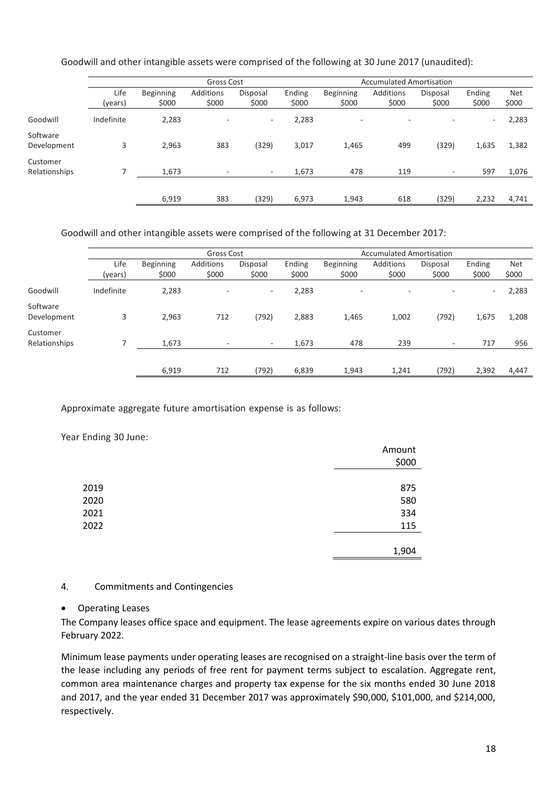Goodwill and other intangible assets were comprised of the following at 30 June 2017 (unaudited):

|                           | Gross Cost      |                           |                           |                   |                 | <b>Accumulated Amortisation</b> |                           |                   |                 |                     |
|---------------------------|-----------------|---------------------------|---------------------------|-------------------|-----------------|---------------------------------|---------------------------|-------------------|-----------------|---------------------|
|                           | Life<br>(years) | <b>Beginning</b><br>\$000 | <b>Additions</b><br>\$000 | Disposal<br>\$000 | Ending<br>\$000 | Beginning<br>\$000              | <b>Additions</b><br>\$000 | Disposal<br>\$000 | Ending<br>\$000 | <b>Net</b><br>\$000 |
| Goodwill                  | Indefinite      | 2,283                     | $\sim$                    | ۰.                | 2,283           | $\overline{\phantom{a}}$        | $\overline{\phantom{a}}$  | ۰                 | $\sim$          | 2,283               |
| Software<br>Development   | 3               | 2,963                     | 383                       | (329)             | 3,017           | 1,465                           | 499                       | (329)             | 1,635           | 1,382               |
| Customer<br>Relationships |                 | 1,673                     | $\sim$                    | $\sim$            | 1,673           | 478                             | 119                       | ٠                 | 597             | 1,076               |
|                           |                 | 6,919                     | 383                       | (329)             | 6,973           | 1,943                           | 618                       | (329)             | 2,232           | 4,741               |

Goodwill and other intangible assets were comprised of the following at 31 December 2017:

|                           |            | Gross Cost       |           |          |        | <b>Accumulated Amortisation</b> |                          |          |                          |            |
|---------------------------|------------|------------------|-----------|----------|--------|---------------------------------|--------------------------|----------|--------------------------|------------|
|                           | Life       | <b>Beginning</b> | Additions | Disposal | Ending | <b>Beginning</b>                | Additions                | Disposal | Ending                   | <b>Net</b> |
|                           | (years)    | \$000            | \$000     | \$000    | \$000  | \$000                           | \$000                    | \$000    | \$000                    | \$000      |
| Goodwill                  | Indefinite | 2,283            |           | $\sim$   | 2,283  | $\overline{\phantom{a}}$        | $\overline{\phantom{a}}$ |          | $\overline{\phantom{a}}$ | 2,283      |
| Software<br>Development   | 3          | 2,963            | 712       | (792)    | 2,883  | 1,465                           | 1,002                    | (792)    | 1,675                    | 1,208      |
| Customer<br>Relationships |            | 1,673            | ۰.        | ٠        | 1,673  | 478                             | 239                      | ۰.       | 717                      | 956        |
|                           |            |                  |           |          |        |                                 |                          |          |                          |            |
|                           |            | 6,919            | 712       | (792)    | 6,839  | 1,943                           | 1,241                    | (792)    | 2,392                    | 4,447      |

Approximate aggregate future amortisation expense is as follows:

Year Ending 30 June:

|      | Amount<br>\$000 |
|------|-----------------|
|      |                 |
| 2019 | 875             |
| 2020 | 580             |
| 2021 | 334             |
| 2022 | 115             |
|      |                 |
|      | 1,904           |

#### 4. Commitments and Contingencies

#### • Operating Leases

The Company leases office space and equipment. The lease agreements expire on various dates through February 2022.

Minimum lease payments under operating leases are recognised on a straight-line basis over the term of the lease including any periods of free rent for payment terms subject to escalation. Aggregate rent, common area maintenance charges and property tax expense for the six months ended 30 June 2018 and 2017, and the year ended 31 December 2017 was approximately \$90,000, \$101,000, and \$214,000, respectively.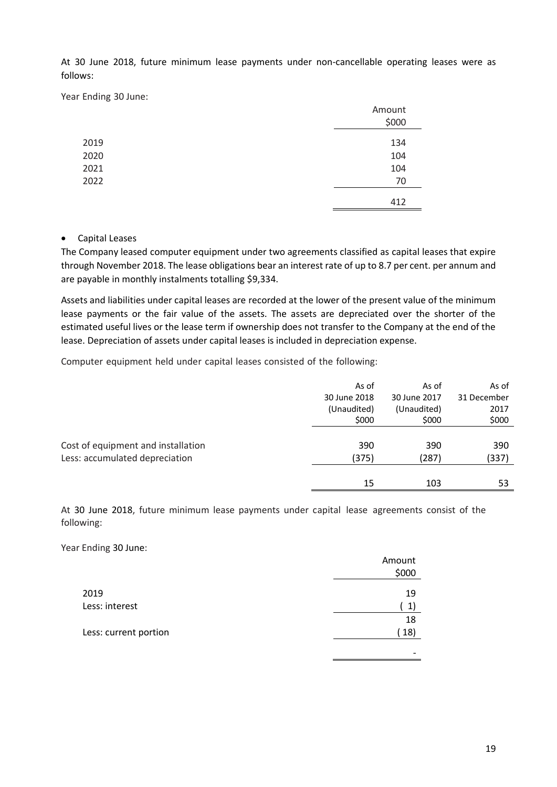At 30 June 2018, future minimum lease payments under non-cancellable operating leases were as follows:

Year Ending 30 June:

|      | Amount |
|------|--------|
|      | \$000  |
| 2019 | 134    |
| 2020 | 104    |
| 2021 | 104    |
| 2022 | 70     |
|      | 412    |

#### • Capital Leases

The Company leased computer equipment under two agreements classified as capital leases that expire through November 2018. The lease obligations bear an interest rate of up to 8.7 per cent. per annum and are payable in monthly instalments totalling \$9,334.

Assets and liabilities under capital leases are recorded at the lower of the present value of the minimum lease payments or the fair value of the assets. The assets are depreciated over the shorter of the estimated useful lives or the lease term if ownership does not transfer to the Company at the end of the lease. Depreciation of assets under capital leases is included in depreciation expense.

Computer equipment held under capital leases consisted of the following:

|                                    | As of        | As of        | As of       |
|------------------------------------|--------------|--------------|-------------|
|                                    | 30 June 2018 | 30 June 2017 | 31 December |
|                                    | (Unaudited)  | (Unaudited)  | 2017        |
|                                    | \$000        | \$000        | \$000       |
|                                    |              |              |             |
| Cost of equipment and installation | 390          | 390          | 390         |
| Less: accumulated depreciation     | (375)        | (287)        | (337)       |
|                                    |              |              |             |
|                                    | 15           | 103          | 53          |
|                                    |              |              |             |

At 30 June 2018, future minimum lease payments under capital lease agreements consist of the following:

Year Ending 30 June:

|                       | Amount |
|-----------------------|--------|
|                       | \$000  |
| 2019                  | 19     |
| Less: interest        | 1      |
|                       |        |
|                       | 18     |
| Less: current portion | 18)    |
|                       |        |
|                       |        |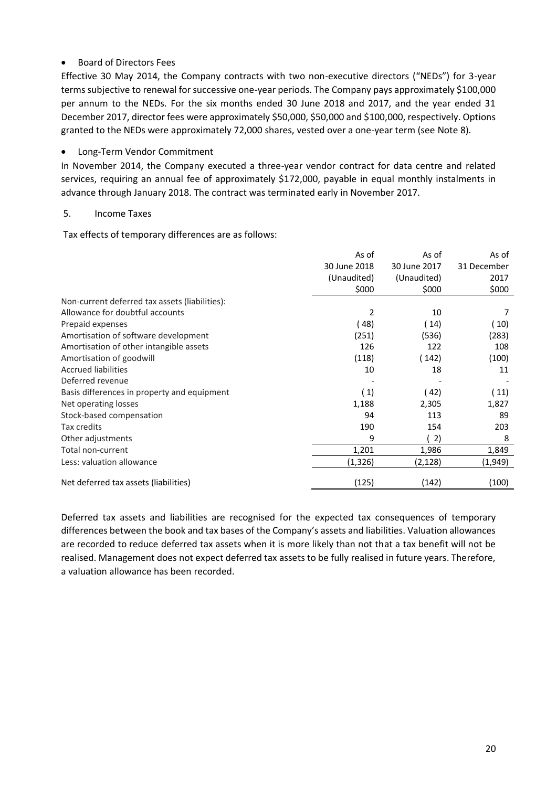# • Board of Directors Fees

Effective 30 May 2014, the Company contracts with two non-executive directors ("NEDs") for 3-year terms subjective to renewal for successive one-year periods. The Company pays approximately \$100,000 per annum to the NEDs. For the six months ended 30 June 2018 and 2017, and the year ended 31 December 2017, director fees were approximately \$50,000, \$50,000 and \$100,000, respectively. Options granted to the NEDs were approximately 72,000 shares, vested over a one-year term (see Note 8).

• Long-Term Vendor Commitment

In November 2014, the Company executed a three-year vendor contract for data centre and related services, requiring an annual fee of approximately \$172,000, payable in equal monthly instalments in advance through January 2018. The contract was terminated early in November 2017.

#### 5. Income Taxes

Tax effects of temporary differences are as follows:

|                                                | As of        | As of        | As of       |
|------------------------------------------------|--------------|--------------|-------------|
|                                                | 30 June 2018 | 30 June 2017 | 31 December |
|                                                | (Unaudited)  | (Unaudited)  | 2017        |
|                                                | \$000        | \$000        | \$000       |
| Non-current deferred tax assets (liabilities): |              |              |             |
| Allowance for doubtful accounts                | 2            | 10           |             |
| Prepaid expenses                               | (48)         | (14)         | (10)        |
| Amortisation of software development           | (251)        | (536)        | (283)       |
| Amortisation of other intangible assets        | 126          | 122          | 108         |
| Amortisation of goodwill                       | (118)        | 142)         | (100)       |
| <b>Accrued liabilities</b>                     | 10           | 18           | 11          |
| Deferred revenue                               |              |              |             |
| Basis differences in property and equipment    | (1)          | 42)          | (11)        |
| Net operating losses                           | 1,188        | 2,305        | 1,827       |
| Stock-based compensation                       | 94           | 113          | 89          |
| Tax credits                                    | 190          | 154          | 203         |
| Other adjustments                              | 9            | 2)           | 8           |
| Total non-current                              | 1,201        | 1,986        | 1,849       |
| Less: valuation allowance                      | (1, 326)     | (2,128)      | (1,949)     |
| Net deferred tax assets (liabilities)          | (125)        | (142)        | (100)       |

Deferred tax assets and liabilities are recognised for the expected tax consequences of temporary differences between the book and tax bases of the Company's assets and liabilities. Valuation allowances are recorded to reduce deferred tax assets when it is more likely than not that a tax benefit will not be realised. Management does not expect deferred tax assets to be fully realised in future years. Therefore, a valuation allowance has been recorded.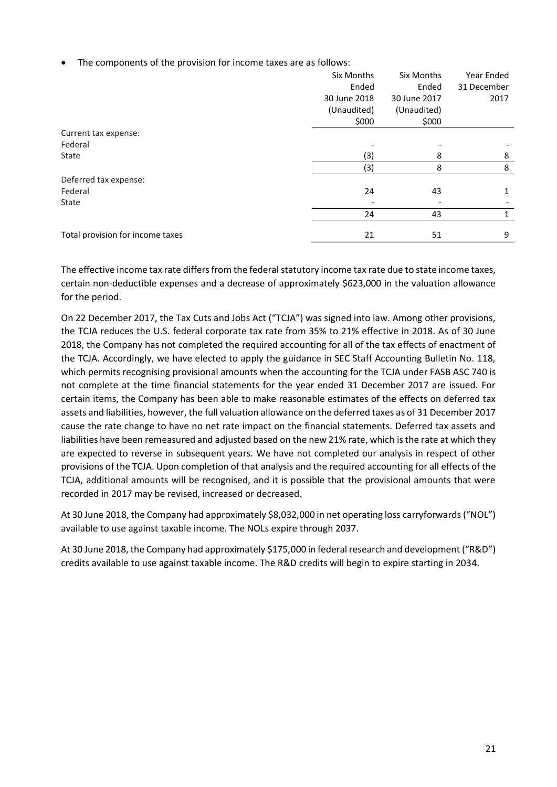The components of the provision for income taxes are as follows:

|                                  | Six Months   | Six Months   | Year Ended  |
|----------------------------------|--------------|--------------|-------------|
|                                  | Ended        | Ended        | 31 December |
|                                  | 30 June 2018 | 30 June 2017 | 2017        |
|                                  | (Unaudited)  | (Unaudited)  |             |
|                                  | \$000        | \$000        |             |
| Current tax expense:             |              |              |             |
| Federal                          |              |              |             |
| State                            | (3)          | 8            | 8           |
|                                  | (3)          | 8            | 8           |
| Deferred tax expense:            |              |              |             |
| Federal                          | 24           | 43           | 1           |
| State                            |              |              |             |
|                                  | 24           | 43           | 1           |
| Total provision for income taxes | 21           | 51           | 9           |

The effective income tax rate differs from the federal statutory income tax rate due to state income taxes, certain non-deductible expenses and a decrease of approximately \$623,000 in the valuation allowance for the period.

On 22 December 2017, the Tax Cuts and Jobs Act ("TCJA") was signed into law. Among other provisions, the TCJA reduces the U.S. federal corporate tax rate from 35% to 21% effective in 2018. As of 30 June 2018, the Company has not completed the required accounting for all of the tax effects of enactment of the TCJA. Accordingly, we have elected to apply the guidance in SEC Staff Accounting Bulletin No. 118, which permits recognising provisional amounts when the accounting for the TCJA under FASB ASC 740 is not complete at the time financial statements for the year ended 31 December 2017 are issued. For certain items, the Company has been able to make reasonable estimates of the effects on deferred tax assets and liabilities, however, the full valuation allowance on the deferred taxes as of 31 December 2017 cause the rate change to have no net rate impact on the financial statements. Deferred tax assets and liabilities have been remeasured and adjusted based on the new 21% rate, which is the rate at which they are expected to reverse in subsequent years. We have not completed our analysis in respect of other provisions of the TCJA. Upon completion of that analysis and the required accounting for all effects of the TCJA, additional amounts will be recognised, and it is possible that the provisional amounts that were recorded in 2017 may be revised, increased or decreased.

At 30 June 2018, the Company had approximately \$8,032,000 in net operating loss carryforwards ("NOL") available to use against taxable income. The NOLs expire through 2037.

At 30 June 2018, the Company had approximately \$175,000 in federal research and development ("R&D") credits available to use against taxable income. The R&D credits will begin to expire starting in 2034.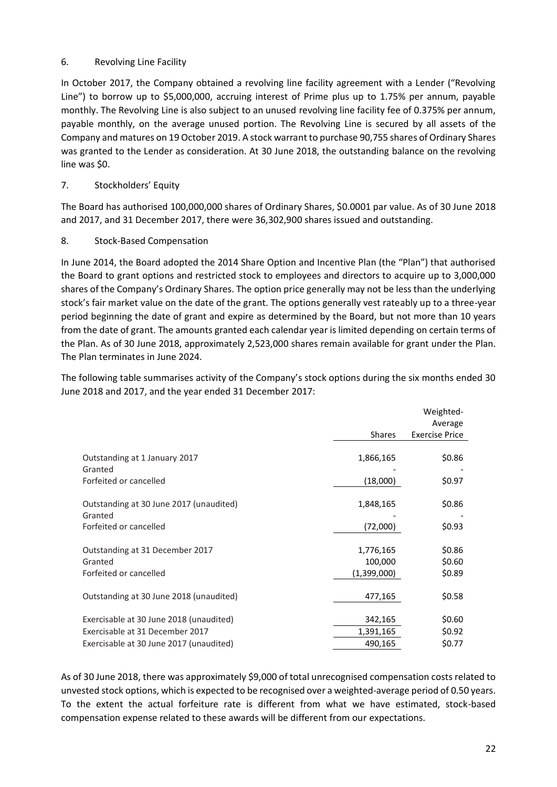# 6. Revolving Line Facility

In October 2017, the Company obtained a revolving line facility agreement with a Lender ("Revolving Line") to borrow up to \$5,000,000, accruing interest of Prime plus up to 1.75% per annum, payable monthly. The Revolving Line is also subject to an unused revolving line facility fee of 0.375% per annum, payable monthly, on the average unused portion. The Revolving Line is secured by all assets of the Company and matures on 19 October 2019. A stock warrant to purchase 90,755 shares of Ordinary Shares was granted to the Lender as consideration. At 30 June 2018, the outstanding balance on the revolving line was \$0.

# 7. Stockholders' Equity

The Board has authorised 100,000,000 shares of Ordinary Shares, \$0.0001 par value. As of 30 June 2018 and 2017, and 31 December 2017, there were 36,302,900 shares issued and outstanding.

# 8. Stock-Based Compensation

In June 2014, the Board adopted the 2014 Share Option and Incentive Plan (the "Plan") that authorised the Board to grant options and restricted stock to employees and directors to acquire up to 3,000,000 shares of the Company's Ordinary Shares. The option price generally may not be less than the underlying stock's fair market value on the date of the grant. The options generally vest rateably up to a three-year period beginning the date of grant and expire as determined by the Board, but not more than 10 years from the date of grant. The amounts granted each calendar year is limited depending on certain terms of the Plan. As of 30 June 2018, approximately 2,523,000 shares remain available for grant under the Plan. The Plan terminates in June 2024.

The following table summarises activity of the Company's stock options during the six months ended 30 June 2018 and 2017, and the year ended 31 December 2017:

|                                                    |               | Weighted-             |
|----------------------------------------------------|---------------|-----------------------|
|                                                    |               | Average               |
|                                                    | <b>Shares</b> | <b>Exercise Price</b> |
| Outstanding at 1 January 2017                      | 1,866,165     | \$0.86                |
| Granted                                            |               |                       |
| Forfeited or cancelled                             | (18,000)      | \$0.97                |
| Outstanding at 30 June 2017 (unaudited)<br>Granted | 1,848,165     | \$0.86                |
| Forfeited or cancelled                             | (72,000)      | \$0.93                |
| Outstanding at 31 December 2017                    | 1,776,165     | \$0.86                |
| Granted                                            | 100,000       | \$0.60                |
| Forfeited or cancelled                             | (1,399,000)   | \$0.89                |
| Outstanding at 30 June 2018 (unaudited)            | 477,165       | \$0.58                |
| Exercisable at 30 June 2018 (unaudited)            | 342,165       | \$0.60                |
| Exercisable at 31 December 2017                    | 1,391,165     | \$0.92                |
| Exercisable at 30 June 2017 (unaudited)            | 490,165       | \$0.77                |

As of 30 June 2018, there was approximately \$9,000 of total unrecognised compensation costs related to unvested stock options, which is expected to be recognised over a weighted-average period of 0.50 years. To the extent the actual forfeiture rate is different from what we have estimated, stock-based compensation expense related to these awards will be different from our expectations.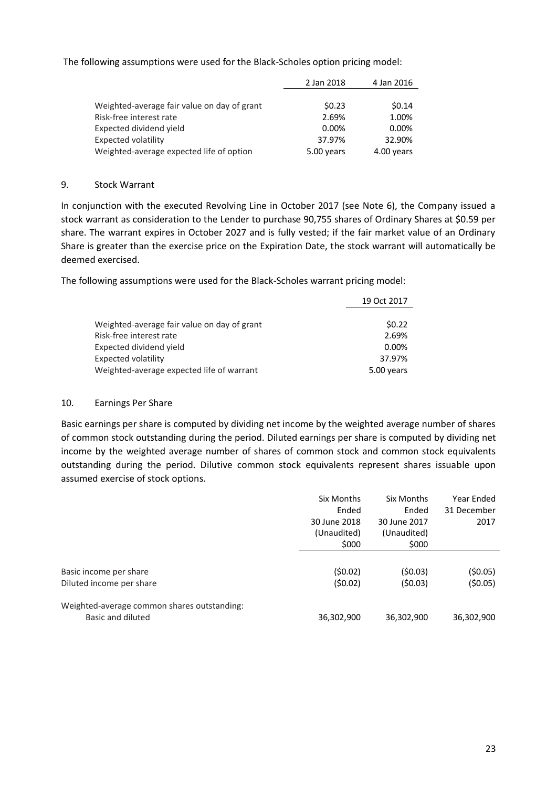The following assumptions were used for the Black-Scholes option pricing model:

|                                             | 2 Jan 2018 | 4 Jan 2016 |
|---------------------------------------------|------------|------------|
|                                             |            |            |
| Weighted-average fair value on day of grant | \$0.23     | \$0.14     |
| Risk-free interest rate                     | 2.69%      | 1.00%      |
| Expected dividend yield                     | 0.00%      | $0.00\%$   |
| Expected volatility                         | 37.97%     | 32.90%     |
| Weighted-average expected life of option    | 5.00 years | 4.00 years |

#### 9. Stock Warrant

In conjunction with the executed Revolving Line in October 2017 (see Note 6), the Company issued a stock warrant as consideration to the Lender to purchase 90,755 shares of Ordinary Shares at \$0.59 per share. The warrant expires in October 2027 and is fully vested; if the fair market value of an Ordinary Share is greater than the exercise price on the Expiration Date, the stock warrant will automatically be deemed exercised.

 $19.9 \times 19.22$ 

The following assumptions were used for the Black-Scholes warrant pricing model:

| Weighted-average fair value on day of grant |            |
|---------------------------------------------|------------|
|                                             |            |
|                                             | \$0.22     |
| Risk-free interest rate                     | 2.69%      |
| Expected dividend yield                     | 0.00%      |
| Expected volatility                         | 37.97%     |
| Weighted-average expected life of warrant   | 5.00 years |

#### 10. Earnings Per Share

Basic earnings per share is computed by dividing net income by the weighted average number of shares of common stock outstanding during the period. Diluted earnings per share is computed by dividing net income by the weighted average number of shares of common stock and common stock equivalents outstanding during the period. Dilutive common stock equivalents represent shares issuable upon assumed exercise of stock options.

|                                                                  | Six Months           | Six Months           | Year Ended  |
|------------------------------------------------------------------|----------------------|----------------------|-------------|
|                                                                  | Ended                | Ended                | 31 December |
|                                                                  | 30 June 2018         | 30 June 2017         | 2017        |
|                                                                  | (Unaudited)<br>\$000 | (Unaudited)<br>\$000 |             |
| Basic income per share                                           | (50.02)              | (50.03)              | (\$0.05)    |
| Diluted income per share                                         | (50.02)              | (50.03)              | (50.05)     |
| Weighted-average common shares outstanding:<br>Basic and diluted | 36,302,900           | 36,302,900           | 36,302,900  |